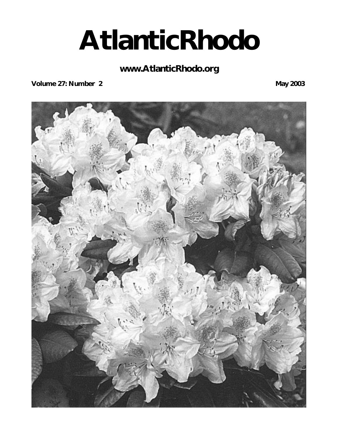# **AtlanticRhodo**

# **www.AtlanticRhodo.org**

**Volume 27: Number 2** May 2003

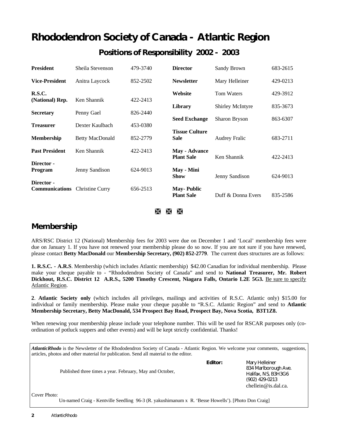# **Rhododendron Society of Canada - Atlantic Region Positions of Responsibility 2002 - 2003**

| <b>President</b>                    | Sheila Stevenson       | 479-3740 | <b>Director</b>                           | Sandy Brown             | 683-2615 |
|-------------------------------------|------------------------|----------|-------------------------------------------|-------------------------|----------|
| <b>Vice-President</b>               | Anitra Laycock         | 852-2502 | <b>Newsletter</b>                         | Mary Helleiner          | 429-0213 |
| R.S.C.                              | Ken Shannik            | 422-2413 | Website                                   | <b>Tom Waters</b>       | 429-3912 |
| (National) Rep.                     |                        |          | Library                                   | <b>Shirley McIntyre</b> | 835-3673 |
| <b>Secretary</b>                    | Penny Gael             | 826-2440 | <b>Seed Exchange</b>                      | Sharon Bryson           | 863-6307 |
| <b>Treasurer</b>                    | Dexter Kaulbach        | 453-0380 | <b>Tissue Culture</b>                     |                         |          |
| <b>Membership</b>                   | <b>Betty MacDonald</b> | 852-2779 | <b>Sale</b>                               | <b>Audrey Fralic</b>    | 683-2711 |
| <b>Past President</b>               | Ken Shannik            | 422-2413 | <b>May - Advance</b><br><b>Plant Sale</b> | Ken Shannik             | 422-2413 |
| Director -                          |                        |          |                                           |                         |          |
| <b>Program</b>                      | Jenny Sandison         | 624-9013 | May - Mini<br><b>Show</b>                 | Jenny Sandison          | 624-9013 |
| Director -<br><b>Communications</b> | <b>Christine Curry</b> | 656-2513 | <b>May-Public</b><br><b>Plant Sale</b>    | Duff & Donna Evers      | 835-2586 |

à à Ã

# **Membership**

ARS/RSC District 12 (National) Membership fees for 2003 were due on December 1 and 'Local' membership fees were due on January 1. If you have not renewed your membership please do so now. If you are not sure if you have renewed, please contact **Betty MacDonald** our **Membership Secretary, (902) 852-2779**. The current dues structures are as follows:

**1. R.S.C. - A.R.S**. Membership (which includes Atlantic membership) \$42.00 Canadian for individual membership. Please make your cheque payable to - "Rhododendron Society of Canada" and send to **National Treasurer, Mr. Robert** Dickhout, R.S.C. District 12 A.R.S., 5200 Timothy Crescent, Niagara Falls, Ontario L2E 5G3. Be sure to specify Atlantic Region.

**2**. **Atlantic Society only** (which includes all privileges, mailings and activities of R.S.C. Atlantic only) \$15.00 for individual or family membership. Please make your cheque payable to "R.S.C. Atlantic Region" and send to **Atlantic Membership Secretary, Betty MacDonald, 534 Prospect Bay Road, Prospect Bay, Nova Scotia, B3T1Z8.** 

When renewing your membership please include your telephone number. This will be used for RSCAR purposes only (coordination of potluck suppers and other events) and will be kept strictly confidential. Thanks!

|              | articles, photos and other material for publication. Send all material to the editor.<br>Published three times a year. February, May and October, | Editor: | Mary Helleiner<br>834 Marlborough Ave.<br>Halifax, NS, B3H3G6<br>(902) 429-0213<br>chellein@is.dal.ca. |
|--------------|---------------------------------------------------------------------------------------------------------------------------------------------------|---------|--------------------------------------------------------------------------------------------------------|
| Cover Photo: | Un-named Craig - Kentville Seedling 96-3 (R. yakushimanum x R. 'Besse Howells'). [Photo Don Craig]                                                |         |                                                                                                        |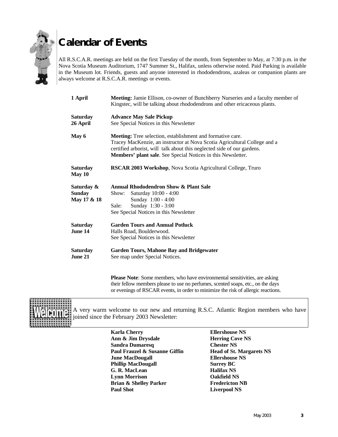

# **Calendar of Events**

All R.S.C.A.R. meetings are held on the first Tuesday of the month, from September to May, at 7:30 p.m. in the Nova Scotia Museum Auditorium, 1747 Summer St., Halifax, unless otherwise noted. Paid Parking is available in the Museum lot. Friends, guests and anyone interested in rhododendrons, azaleas or companion plants are always welcome at R.S.C.A.R. meetings or events.

| 1 April                                    | Meeting: Jamie Ellison, co-owner of Bunchberry Nurseries and a faculty member of<br>Kingstec, will be talking about rhododendrons and other ericaceous plants.                                                                                                                                                                                                        |  |  |  |
|--------------------------------------------|-----------------------------------------------------------------------------------------------------------------------------------------------------------------------------------------------------------------------------------------------------------------------------------------------------------------------------------------------------------------------|--|--|--|
| <b>Saturday</b><br>26 April                | <b>Advance May Sale Pickup</b><br>See Special Notices in this Newsletter<br><b>Meeting:</b> Tree selection, establishment and formative care.<br>Tracey MacKenzie, an instructor at Nova Scotia Agricultural College and a<br>certified arborist, will talk about this neglected side of our gardens.<br>Members' plant sale. See Special Notices in this Newsletter. |  |  |  |
| May 6                                      |                                                                                                                                                                                                                                                                                                                                                                       |  |  |  |
| <b>Saturday</b><br>May 10                  | RSCAR 2003 Workshop, Nova Scotia Agricultural College, Truro                                                                                                                                                                                                                                                                                                          |  |  |  |
| Saturday &<br><b>Sunday</b><br>May 17 & 18 | <b>Annual Rhododendron Show &amp; Plant Sale</b><br>Saturday 10:00 - 4:00<br>Show:<br>Sunday 1:00 - 4:00<br>Sunday 1:30 - 3:00<br>Sale:<br>See Special Notices in this Newsletter                                                                                                                                                                                     |  |  |  |
| <b>Saturday</b><br>June 14                 | <b>Garden Tours and Annual Potluck</b><br>Halls Road, Boulderwood.<br>See Special Notices in this Newsletter                                                                                                                                                                                                                                                          |  |  |  |
| <b>Saturday</b><br>June 21                 | <b>Garden Tours, Mahone Bay and Bridgewater</b><br>See map under Special Notices.                                                                                                                                                                                                                                                                                     |  |  |  |

**Please Note:** Some members, who have environmental sensitivities, are asking their fellow members please to use no perfumes, scented soaps, etc., on the days or evenings of RSCAR events, in order to minimize the risk of allergic reactions.



A very warm welcome to our new and returning R.S.C. Atlantic Region members who have joined since the February 2003 Newsletter:

> **Karla Cherry Ellershouse NS Ann & Jim Drysdale Herring Cove NS Sandra Dumaresq Chester NS** Paul Frauzel & Susanne Giffin **Head of St. Margarets NS** *<u>Iune MacDougall</u>* **Ellershouse NS Phillip MacDougall Surrey BC G. R. MacLean Halifax NS Lynn Morrison Oakfield NS Brian & Shelley Parker Fredericton NB** Paul Shot Liverpool NS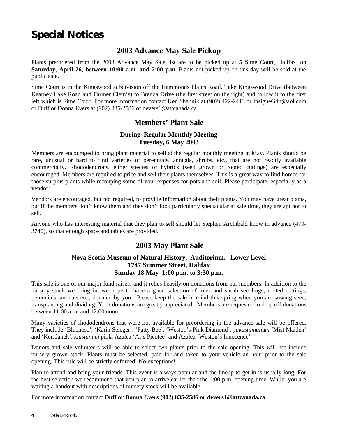# **2003 Advance May Sale Pickup**

Plants preordered from the 2003 Advance May Sale list are to be picked up at 5 Sime Court, Halifax, on **Saturday, April 26, between 10:00 a.m. and 2:00 p.m.** Plants not picked up on this day will be sold at the public sale.

Sime Court is in the Kingswood subdivision off the Hammonds Plains Road. Take Kingswood Drive (between Kearney Lake Road and Farmer Clem's) to Brenda Drive (the first street on the right) and follow it to the first left which is Sime Court. For more information contact Ken Shannik at (902) 422-2413 or InsigneGdn@aol.com or Duff or Donna Evers at (902) 835-2586 or devers1@attcanada.ca

# **Members' Plant Sale**

### **During Regular Monthly Meeting Tuesday, 6 May 2003**

Members are encouraged to bring plant material to sell at the regular monthly meeting in May. Plants should be rare, unusual or hard to find varieties of perennials, annuals, shrubs, etc., that are not readily available commercially. Rhododendrons, either species or hybrids (seed grown or rooted cuttings) are especially encouraged. Members are required to price and sell their plants themselves. This is a great way to find homes for those surplus plants while recouping some of your expenses for pots and soil. Please participate, especially as a vendor!

Vendors are encouraged, but not required, to provide information about their plants. You may have great plants, but if the members don't know them and they don't look particularly spectacular at sale time, they are apt not to sell.

Anyone who has interesting material that they plan to sell should let Stephen Archibald know in advance (479- 3740), so that enough space and tables are provided.

# **2003 May Plant Sale**

### **Nova Scotia Museum of Natural History, Auditorium, Lower Level 1747 Summer Street, Halifax Sunday 18 May 1:00 p.m. to 3:30 p.m.**

This sale is one of our major fund raisers and it relies heavily on donations from our members. In addition to the nursery stock we bring in, we hope to have a good selection of trees and shrub seedlings, rooted cuttings, perennials, annuals etc., donated by you. Please keep the sale in mind this spring when you are sowing seed, transplanting and dividing. Your donations are greatly appreciated. Members are requested to drop off donations between 11:00 a.m. and 12:00 noon.

Many varieties of rhododendrons that were not available for preordering in the advance sale will be offered. They include 'Bluenose', 'Karin Seleger', 'Patty Bee', 'Weston's Pink Diamond', *yakushimanum* 'Mist Maiden' and 'Ken Janek', *kiusianum* pink, Azalea 'Al's Picotee' and Azalea 'Weston's Innocence'.

Donors and sale volunteers will be able to select two plants prior to the sale opening. This will not include nursery grown stock. Plants must be selected, paid for and taken to your vehicle an hour prior to the sale opening. This rule will be strictly enforced! No exceptions!

Plan to attend and bring your friends. This event is always popular and the lineup to get in is usually long. For the best selection we recommend that you plan to arrive earlier than the 1:00 p.m. opening time. While you are waiting a handout with descriptions of nursery stock will be available.

For more information contact **Duff or Donna Evers (902) 835-2586 or devers1@attcanada.ca**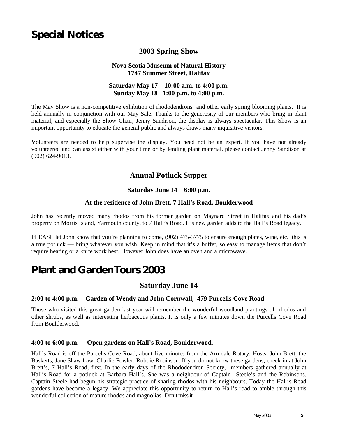# **2003 Spring Show**

### **Nova Scotia Museum of Natural History 1747 Summer Street, Halifax**

## **Saturday May 17 10:00 a.m. to 4:00 p.m. Sunday May 18 1:00 p.m. to 4:00 p.m.**

The May Show is a non-competitive exhibition of rhododendrons and other early spring blooming plants. It is held annually in conjunction with our May Sale. Thanks to the generosity of our members who bring in plant material, and especially the Show Chair, Jenny Sandison, the display is always spectacular. This Show is an important opportunity to educate the general public and always draws many inquisitive visitors.

Volunteers are needed to help supervise the display. You need not be an expert. If you have not already volunteered and can assist either with your time or by lending plant material, please contact Jenny Sandison at (902) 624-9013.

# **Annual Potluck Supper**

### **Saturday June 14 6:00 p.m.**

### **At the residence of John Brett, 7 Hall's Road, Boulderwood**

John has recently moved many rhodos from his former garden on Maynard Street in Halifax and his dad's property on Morris Island, Yarmouth county, to 7 Hall's Road. His new garden adds to the Hall's Road legacy.

PLEASE let John know that you're planning to come, (902) 475-3775 to ensure enough plates, wine, etc. this is a true potluck — bring whatever you wish. Keep in mind that it's a buffet, so easy to manage items that don't require heating or a knife work best. However John does have an oven and a microwave.

# **Plant and Garden Tours 2003**

# **Saturday June 14**

### **2:00 to 4:00 p.m. Garden of Wendy and John Cornwall, 479 Purcells Cove Road**.

Those who visited this great garden last year will remember the wonderful woodland plantings of rhodos and other shrubs, as well as interesting herbaceous plants. It is only a few minutes down the Purcells Cove Road from Boulderwood.

### **4:00 to 6:00 p.m. Open gardens on Hall's Road, Boulderwood**.

Hall's Road is off the Purcells Cove Road, about five minutes from the Armdale Rotary. Hosts: John Brett, the Basketts, Jane Shaw Law, Charlie Fowler, Robbie Robinson. If you do not know these gardens, check in at John Brett's, 7 Hall's Road, first. In the early days of the Rhododendron Society, members gathered annually at Hall's Road for a potluck at Barbara Hall's. She was a neighbour of Captain Steele's and the Robinsons. Captain Steele had begun his strategic practice of sharing rhodos with his neighbours. Today the Hall's Road gardens have become a legacy. We appreciate this opportunity to return to Hall's road to amble through this wonderful collection of mature rhodos and magnolias. Don't miss it.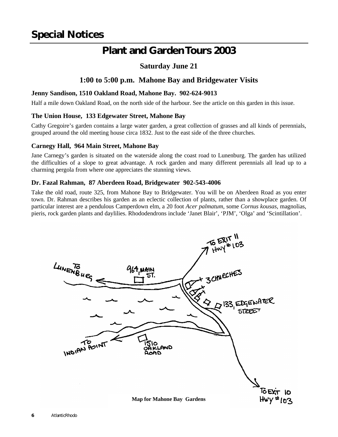# **Plant and Garden Tours 2003**

# **Saturday June 21**

# **1:00 to 5:00 p.m. Mahone Bay and Bridgewater Visits**

### **Jenny Sandison, 1510 Oakland Road, Mahone Bay. 902-624-9013**

Half a mile down Oakland Road, on the north side of the harbour. See the article on this garden in this issue.

### **The Union House, 133 Edgewater Street, Mahone Bay**

Cathy Gregoire's garden contains a large water garden, a great collection of grasses and all kinds of perennials, grouped around the old meeting house circa 1832. Just to the east side of the three churches.

### **Carnegy Hall, 964 Main Street, Mahone Bay**

Jane Carnegy's garden is situated on the waterside along the coast road to Lunenburg. The garden has utilized the difficulties of a slope to great advantage. A rock garden and many different perennials all lead up to a charming pergola from where one appreciates the stunning views.

### **Dr. Fazal Rahman, 87 Aberdeen Road, Bridgewater 902-543-4006**

Take the old road, route 325, from Mahone Bay to Bridgewater. You will be on Aberdeen Road as you enter town. Dr. Rahman describes his garden as an eclectic collection of plants, rather than a showplace garden. Of particular interest are a pendulous Camperdown elm, a 20 foot *Acer palmatum*, some *Cornus kousas*, magnolias, pieris, rock garden plants and daylilies. Rhododendrons include 'Janet Blair', 'PJM', 'Olga' and 'Scintillation'.

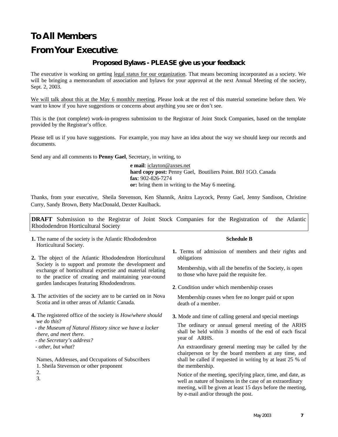# **To All Members**

# **From Your Executive**:

### **Proposed Bylaws - PLEASE give us your feedback**

The executive is working on getting legal status for our organization. That means becoming incorporated as a society. We will be bringing a memorandum of association and bylaws for your approval at the next Annual Meeting of the society, Sept. 2, 2003.

We will talk about this at the May 6 monthly meeting. Please look at the rest of this material sometime before then. We want to know if you have suggestions or concerns about anything you see or don't see.

This is the (not complete) work-in-progress submission to the Registrar of Joint Stock Companies, based on the template provided by the Registrar's office.

Please tell us if you have suggestions. For example, you may have an idea about the way we should keep our records and documents.

Send any and all comments to **Penny Gael**, Secretary, in writing, to

 **e mail**: iclayton@axses.net  **hard copy post:** Penny Gael, Boutiliers Point. B0J 1GO. Canada  **fax**: 902-826-7274  **or:** bring them in writing to the May 6 meeting.

Thanks, from your executive, Sheila Stevenson, Ken Shannik, Anitra Laycock, Penny Gael, Jenny Sandison, Christine Curry, Sandy Brown, Betty MacDonald, Dexter Kaulback.

**DRAFT** Submission to the Registrar of Joint Stock Companies for the Registration of the Atlantic Rhododendron Horticultural Society

**1.** The name of the society is the Atlantic Rhododendron Horticultural Society.

#### **Schedule B**

- **2.** The object of the Atlantic Rhododendron Horticultural Society is to support and promote the development and exchange of horticultural expertise and material relating to the practice of creating and maintaining year-round garden landscapes featuring Rhododendrons.
- **3.** The activities of the society are to be carried on in Nova Scotia and in other areas of Atlantic Canada.
- **4.** The registered office of the society is *How/where should we do this*?
	- *the Museum of Natural History since we have a locker there, and meet there.*
	- *the Secretary's address?*
	- *other, but what*?

Names, Addresses, and Occupations of Subscribers

- 1. Sheila Stevenson or other proponent
- 2. 3.

**1.** Terms of admission of members and their rights and obligations

Membership, with all the benefits of the Society, is open to those who have paid the requisite fee.

**2**. Condition under which membership ceases

Membership ceases when fee no longer paid or upon death of a member.

**3.** Mode and time of calling general and special meetings

The ordinary or annual general meeting of the ARHS shall be held within 3 months of the end of each fiscal year of ARHS.

An extraordinary general meeting may be called by the chairperson or by the board members at any time, and shall be called if requested in writing by at least 25 % of the membership.

Notice of the meeting, specifying place, time, and date, as well as nature of business in the case of an extraordinary meeting, will be given at least 15 days before the meeting, by e-mail and/or through the post.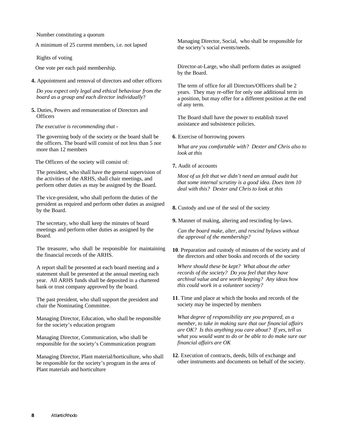Number constituting a quorum

A minimum of 25 current members, i.e. not lapsed

Rights of voting

One vote per each paid membership.

**4.** Appointment and removal of directors and other officers

*Do you expect only legal and ethical behaviour from the board as a group and each director individually*?

**5.** Duties, Powers and remuneration of Directors and **Officers** 

*The executive is recommending that -*

The governing body of the society or the board shall be the officers. The board will consist of not less than 5 nor more than 12 members

The Officers of the society will consist of:

The president, who shall have the general supervision of the activities of the ARHS, shall chair meetings, and perform other duties as may be assigned by the Board.

The vice-president, who shall perform the duties of the president as required and perform other duties as assigned by the Board.

The secretary, who shall keep the minutes of board meetings and perform other duties as assigned by the Board.

The treasurer, who shall be responsible for maintaining the financial records of the ARHS.

A report shall be presented at each board meeting and a statement shall be presented at the annual meeting each year. All ARHS funds shall be deposited in a chartered bank or trust company approved by the board.

The past president, who shall support the president and chair the Nominating Committee.

Managing Director, Education, who shall be responsible for the society's education program

Managing Director, Communication, who shall be responsible for the society's Communication program

Managing Director, Plant material/horticulture, who shall be responsible for the society's program in the area of Plant materials and horticulture

Managing Director, Social, who shall be responsible for the society's social events/needs.

Director-at-Large, who shall perform duties as assigned by the Board.

The term of office for all Directors/Officers shall be 2 years. They may re-offer for only one additional term in a position, but may offer for a different position at the end of any term.

The Board shall have the power to establish travel assistance and subsistence policies.

**6**. Exercise of borrowing powers

*What are you comfortable with? Dexter and Chris also to look at this*

**7.** Audit of accounts

*Most of us felt that we didn't need an annual audit but that some internal scrutiny is a good idea. Does item 10 deal with this? Dexter and Chris to look at this*

**8.** Custody and use of the seal of the society

**9.** Manner of making, altering and rescinding by-laws.

*Can the board make, alter, and rescind bylaws without the approval of the membership?*

**10**. Preparation and custody of minutes of the society and of the directors and other books and records of the society

*Where should these be kept? What about the other records of the society? Do you feel that they have archival value and are worth keeping? Any ideas how this could work in a volunteer society?* 

**11**. Time and place at which the books and records of the society may be inspected by members

*What degree of responsibility are you prepared, as a member, to take in making sure that our financial affairs are OK? Is this anything you care about? If yes, tell us what you would want to do or be able to do make sure our financial affairs are OK*

**12**. Execution of contracts, deeds, bills of exchange and other instruments and documents on behalf of the society.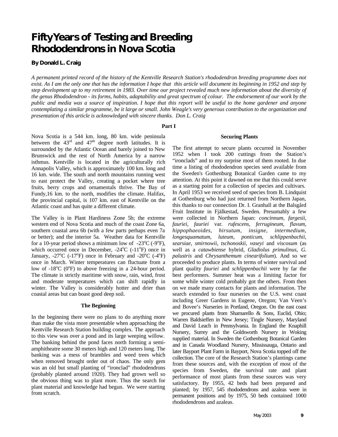# **Fifty Years of Testing and Breeding Rhododendrons in Nova Scotia**

**By Donald L. Craig**

*A permanent printed record of the history of the Kentville Research Station's rhododendron breeding programme does not exist. As I am the only one that has the information I hope that this article will document its beginning in 1952 and step by step development up to my retirement in 1983. Over time our project revealed much new information about the diversity of the genus Rhododendron - its forms, habits, adaptability and great spectrum of colour. The endorsement of our work by the public and media was a source of inspiration. I hope that this report will be useful to the home gardener and anyone contemplating a similar programme, be it large or small. John Weagle's very generous contribution to the organization and presentation of this article is acknowledged with sincere thanks. Don L. Craig*

#### **Part I**

Nova Scotia is a 544 km. long, 80 km. wide peninsula between the  $43<sup>rd</sup>$  and  $47<sup>th</sup>$  degree north latitudes. It is surrounded by the Atlantic Ocean and barely joined to New Brunswick and the rest of North America by a narrow isthmus. Kentville is located in the agriculturally rich Annapolis Valley, which is approximately 100 km. long and 16 km. wide. The south and north mountains running west to east protect the Valley, creating a pocket where tree fruits, berry crops and ornamentals thrive. The Bay of Fundy,16 km. to the north, modifies the climate. Halifax, the provincial capital, is 107 km. east of Kentville on the Atlantic coast and has quite a different climate.

The Valley is in Plant Hardiness Zone 5b; the extreme western end of Nova Scotia and much of the coast Zone 6a, southern coastal area 6b (with a few parts perhaps even 7a or better); and the interior 5a. Weather data for Kentville for a 10-year period shows a minimum low of  $-23^{\circ}C$  (-9 $^{\circ}F$ ), which occurred once in December, -24°C (-11°F) once in January,  $-27^{\circ}$ C ( $-17^{\circ}$ F) once in February and  $-20^{\circ}$ C ( $-4^{\circ}$ F) once in March. Winter temperatures can fluctuate from a low of  $-18^{\circ}$ C (0 $^{\circ}$ F) to above freezing in a 24-hour period. The climate is strictly maritime with snow, rain, wind, frost and moderate temperatures which can shift rapidly in winter. The Valley is considerably hotter and drier than coastal areas but can boast good deep soil.

#### **The Beginning**

In the beginning there were no plans to do anything more than make the vista more presentable when approaching the Kentville Research Station building complex. The approach to this view was over a pond and its large weeping willow. The banking behind the pond faces north forming a semiamphitheatre some 30 meters high and 120 meters long. The banking was a mess of brambles and weed trees which when removed brought order out of chaos. The only gem was an old but small planting of "ironclad" rhododendrons (probably planted around 1920). They had grown well so the obvious thing was to plant more. Thus the search for plant material and knowledge had begun. We were starting from scratch.

The first attempt to secure plants occurred in November 1952 when I took 200 cuttings from the Station's "ironclads" and to my surprise most of them rooted. In due time a listing of rhododendron species seed available from the Sweden's Gothenburg Botanical Garden came to my attention. At this point it dawned on me that this could serve as a starting point for a collection of species and cultivars. In April 1953 we received seed of species from B. Lindquist at Gothenburg who had just returned from Northern Japan, this thanks to our connection Dr. I. Granhall at the Balsgård Fruit Institute in Fjälkestad, Sweden. Presumably a few were collected in Northern Japan: *concinnum, fargesii, fauriei, fauriei* var*. rufescens, ferrugineum, flavum, hippophaeoides, hirsutum, insigne*, *intermedium, longesquamatum, luteum, ponticum, schlippenbachii, searsiae, smirnowii, tschonoskii, vaseyi* and *viscosum* (as well as a *catawbiense* hybrid, *Gladiolus primulinus*, *G. palustris* and *Chrysanthemum cinearifolium*). And so we proceeded to produce plants. In terms of winter survival and plant quality *fauriei* and *schlippenbachii* were by far the best performers. Summer heat was a limiting factor for some while winter cold probably got the others. From then on we made many contacts for plants and information. The search extended to four nurseries on the U.S. west coast including Greer Gardens in Eugene, Oregon; Van Veen's and Bovee's Nurseries in Portland, Oregon. On the east coast we procured plants from Shamarello & Sons, Euclid, Ohio; Warren Baldsieffen in New Jersey; Tingle Nursery, Maryland and David Leach in Pennsylvania. In England the Knaphill Nursery, Surrey and the Goldsworth Nursery in Woking supplied material. In Sweden the Gothenburg Botanical Garden and in Canada Woodland Nursery, Mississauga, Ontario and later Bayport Plant Farm in Bayport, Nova Scotia topped off the collection. The core of the Research Station's plantings came from these sources and, with the exception of most of the species from Sweden, the survival rate and plant performance of most plants from these sources was very satisfactory. By 1955, 42 beds had been prepared and planted; by 1957, 545 rhododendrons and azaleas were in permanent positions and by 1975, 50 beds contained 1000 rhododendrons and azaleas.

**Securing Plants**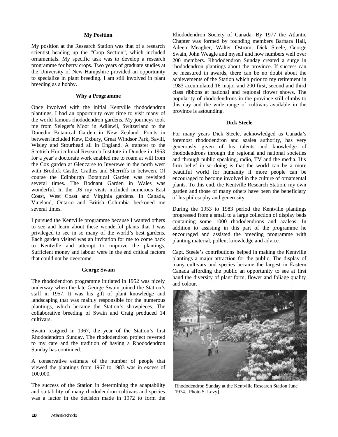#### **My Position**

My position at the Research Station was that of a research scientist heading up the "Crop Section", which included ornamentals. My specific task was to develop a research programme for berry crops. Two years of graduate studies at the University of New Hampshire provided an opportunity to specialize in plant breeding. I am still involved in plant breeding as a hobby.

#### **Why a Programme**

Once involved with the initial Kentville rhododendron plantings, I had an opportunity over time to visit many of the world famous rhododendron gardens. My journeys took me from Seleger's Moor in Adliswil, Switzerland to the Dunedin Botanical Garden in New Zealand. Points in between included Kew, Exbury, Great Windsor Park, Savill, Wisley and Stourhead all in England. A transfer to the Scottish Horticultural Research Institute in Dundee in 1963 for a year's doctorate work enabled me to roam at will from the Cox garden at Glencarse to Inverewe in the north west with Brodick Castle, Crathes and Sherriffs in between. Of course the Edinburgh Botanical Garden was revisited several times. The Bodnant Garden in Wales was wonderful. In the US my visits included numerous East Coast, West Coast and Virginia gardens. In Canada, Vineland, Ontario and British Columbia beckoned me several times.

I pursued the Kentville programme because I wanted others to see and learn about these wonderful plants that I was privileged to see in so many of the world's best gardens. Each garden visited was an invitation for me to come back to Kentville and attempt to improve the plantings. Sufficient money and labour were in the end critical factors that could not be overcome.

#### **George Swain**

The rhododendron programme initiated in 1952 was nicely underway when the late George Swain joined the Station's staff in 1957. It was his gift of plant knowledge and landscaping that was mainly responsible for the numerous plantings, which became the Station's showpieces. The collaborative breeding of Swain and Craig produced 14 cultivars.

Swain resigned in 1967, the year of the Station's first Rhododendron Sunday. The rhododendron project reverted to my care and the tradition of having a Rhododendron Sunday has continued.

A conservative estimate of the number of people that viewed the plantings from 1967 to 1983 was in excess of 100,000.

The success of the Station in determining the adaptability and suitability of many rhododendron cultivars and species was a factor in the decision made in 1972 to form the Rhododendron Society of Canada. By 1977 the Atlantic Chapter was formed by founding members Barbara Hall, Aileen Meagher, Walter Ostrom, Dick Steele, George Swain, John Weagle and myself and now numbers well over 200 members. Rhododendron Sunday created a surge in rhododendron plantings about the province. If success can be measured in awards, there can be no doubt about the achievements of the Station which prior to my retirement in 1983 accumulated 16 major and 200 first, second and third class ribbons at national and regional flower shows. The popularity of rhododendrons in the province still climbs to this day and the wide range of cultivars available in the province is astounding.

#### **Dick Steele**

For many years Dick Steele, acknowledged as Canada's foremost rhododendron and azalea authority, has very generously given of his talents and knowledge of rhododendrons through the regional and national societies and through public speaking, radio, TV and the media. His firm belief in so doing is that the world can be a more beautiful world for humanity if more people can be encouraged to become involved in the culture of ornamental plants. To this end, the Kentville Research Station, my own garden and those of many others have been the beneficiary of his philosophy and generosity.

During the 1953 to 1983 period the Kentville plantings progressed from a small to a large collection of display beds containing some 1000 rhododendrons and azaleas. In addition to assisting in this part of the programme he encouraged and assisted the breeding programme with planting material, pollen, knowledge and advice.

Capt. Steele's contributions helped in making the Kentville plantings a major attraction for the public. The display of many cultivars and species became the largest in Eastern Canada affording the public an opportunity to see at first hand the diversity of plant form, flower and foliage quality and colour.



Rhododendron Sunday at the Kentville Research Station June 1974. [Photo S. Levy]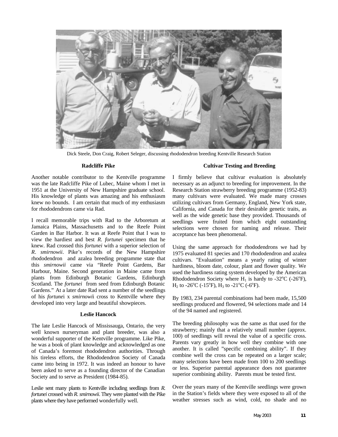

Dick Steele, Don Craig, Robert Seleger, discussing rhododendron breeding Kentville Research Station

#### **Radcliffe Pike**

Another notable contributor to the Kentville programme was the late Radcliffe Pike of Lubec, Maine whom I met in 1951 at the University of New Hampshire graduate school. His knowledge of plants was amazing and his enthusiasm knew no bounds. I am certain that much of my enthusiasm for rhododendrons came via Rad.

I recall memorable trips with Rad to the Arboretum at Jamaica Plains, Massachusetts and to the Reefe Point Garden in Bar Harbor. It was at Reefe Point that I was to view the hardiest and best *R*. *fortunei* specimen that he knew. Rad crossed this *fortunei* with a superior selection of *R*. *smirnowii*. Pike's records of the New Hampshire rhododendron and azalea breeding programme state that this *smirnowii* came via "Reefe Point Gardens, Bar Harbour, Maine. Second generation in Maine came from plants from Edinburgh Botanic Gardens, Edinburgh Scotland. The *fortunei* from seed from Edinburgh Botanic Gardens." At a later date Rad sent a number of the seedlings of his *fortune*i x *smirnowi*i cross to Kentville where they developed into very large and beautiful showpieces.

#### **Leslie Hancock**

The late Leslie Hancock of Mississauga, Ontario, the very well known nurseryman and plant breeder, was also a wonderful supporter of the Kentville programme. Like Pike, he was a book of plant knowledge and acknowledged as one of Canada's foremost rhododendron authorities. Through his tireless efforts, the Rhododendron Society of Canada came into being in 1972. It was indeed an honour to have been asked to serve as a founding director of the Canadian Society and to serve as President (1984-85).

Leslie sent many plants to Kentville including seedlings from *R. fortunei* crossed with *R*. *smirnowii*. They were planted with the Pike plants where they have performed wonderfully well.

#### **Cultivar Testing and Breeding**

I firmly believe that cultivar evaluation is absolutely necessary as an adjunct to breeding for improvement. In the Research Station strawberry breeding programme (1952-83) many cultivars were evaluated. We made many crosses utilizing cultivars from Germany, England, New York state, California, and Canada for their desirable genetic traits, as well as the wide genetic base they provided. Thousands of seedlings were fruited from which eight outstanding selections were chosen for naming and release. Their acceptance has been phenomenal.

Using the same approach for rhododendrons we had by 1975 evaluated 81 species and 170 rhododendron and azalea cultivars. "Evaluation" means a yearly rating of winter hardiness, bloom date, colour, plant and flower quality. We used the hardiness rating system developed by the American Rhododendron Society where  $H_1$  is hardy to -32°C (-26°F), H<sub>2</sub> to -26<sup>o</sup>C (-15<sup>o</sup>F), H<sub>3</sub> to -21<sup>o</sup>C (-6<sup>o</sup>F).

By 1983, 234 parental combinations had been made, 15,500 seedlings produced and flowered, 94 selections made and 14 of the 94 named and registered.

The breeding philosophy was the same as that used for the strawberry; mainly that a relatively small number (approx. 100) of seedlings will reveal the value of a specific cross. Parents vary greatly in how well they combine with one another. It is called "specific combining ability". If they combine well the cross can be repeated on a larger scale; many selections have been made from 100 to 200 seedlings or less. Superior parental appearance does not guarantee superior combining ability. Parents must be tested first.

Over the years many of the Kentville seedlings were grown in the Station's fields where they were exposed to all of the weather stresses such as wind, cold, no shade and no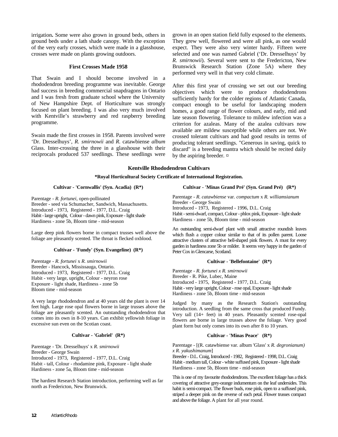irrigation**.** Some were also grown in ground beds, others in ground beds under a lath shade canopy. With the exception of the very early crosses, which were made in a glasshouse, crosses were made on plants growing outdoors.

#### **First Crosses Made 1958**

That Swain and I should become involved in a rhododendron breeding programme was inevitable. George had success in breeding commercial snapdragons in Ontario and I was fresh from graduate school where the University of New Hampshire Dept. of Horticulture was strongly focused on plant breeding. I was also very much involved with Kentville's strawberry and red raspberry breeding programme.

Swain made the first crosses in 1958. Parents involved were 'Dr. Dresselhuys'*, R. smirnowii* and *R*. catawbiense *album* Glass. Inter-crossing the three in a glasshouse with their reciprocals produced 537 seedlings. These seedlings were grown in an open station field fully exposed to the elements. They grew well, flowered and were all pink, as one would expect. They were also very winter hardy. Fifteen were selected and one was named Gabriel ('Dr. Dresselhuys' by *R. smirnowii*). Several were sent to the Fredericton, New Brunswick Research Station (Zone 5A) where they performed very well in that very cold climate.

After this first year of crossing we set out our breeding objectives which were to produce rhododendrons sufficiently hardy for the colder regions of Atlantic Canada, compact enough to be useful for landscaping modern homes, a good range of flower colours, and early, mid and late season flowering. Tolerance to mildew infection was a criterion for azaleas. Many of the azalea cultivars now available are mildew susceptible while others are not. We crossed tolerant cultivars and had good results in terms of producing tolerant seedlings. "Generous in saving, quick to discard" is a breeding mantra which should be recited daily by the aspiring breeder.  $\alpha$ 

#### **Kentville Rhododendron Cultivars**

#### **\*Royal Horticultural Society Certificate of International Registration.**

#### **Cultivar - 'Cornwallis' (Syn. Acadia) (R\*)**

Parentage - *R. fortunei*, open-pollinated Breeder - seed via Schumacher, Sandwich, Massachusetts. Introduced - 1973, Registered - 1977, D.L. Craig Habit - large upright, Colour - dawn pink, Exposure - light shade Hardiness - zone 5b, Bloom time - mid-season

Large deep pink flowers borne in compact trusses well above the foliage are pleasantly scented. The throat is flecked oxblood.

#### **Cultivar - 'Fundy' (Syn. Evangeline) (R\*)**

Parentage - *R. fortunei* x *R. smirnowii* Breeder - Hancock, Mississauga, Ontario. Introduced - 1973, Registered - 1977, D.L. Craig Habit - very large, upright, Colour - neyron rose Exposure - light shade, Hardiness - zone 5b Bloom time - mid-season

A very large rhododendron and at 40 years old the plant is over 14 feet high. Large rose opal flowers borne in large trusses above the foliage are pleasantly scented. An outstanding rhododendron that comes into its own in 8-10 years. Can exhibit yellowish foliage in excessive sun even on the Scotian coast.

#### **Cultivar - 'Gabriel' (R\*)**

Parentage - 'Dr. Dresselhuys' x *R. smirnowii* Breeder - George Swain Introduced - 1973, Registered - 1977, D.L. Craig Habit - tall, Colour - rhodamine pink, Exposure - light shade Hardiness - zone 5a, Bloom time - mid-season

The hardiest Research Station introduction, performing well as far north as Fredericton, New Brunswick.

#### **Cultivar - 'Minas Grand Pré' (Syn. Grand Pré) (R\*)**

Parentage - *R. catawbiense* var. *compactum* x *R. williamsianum* Breeder - George Swain Introduced - 1973, Registered - 1996, D.L. Craig Habit - semi-dwarf, compact, Colour - phlox pink, Exposure - light shade Hardiness - zone 5b, Bloom time - mid-season

An outstanding semi-dwarf plant with small attractive roundish leaves which flush a copper colour similar to that of its pollen parent. Loose attractive clusters of attractive bell-shaped pink flowers. A must for every garden in hardiness zone 5b or milder. It seems very happy in the garden of Peter Cox in Glencarse, Scotland.

#### **Cultivar - 'Bellefontaine' (R\*)**

Parentage - *R. fortunei x R. smirnowii* Breeder - R. Pike, Lubec, Maine Introduced - 1975, Registered - 1977, D.L. Craig Habit - very large upright, Colour - rose opal, Exposure - light shade Hardiness - zone 5b, Bloom time - mid-season

Judged by many as the Research Station's outstanding introduction. A seedling from the same cross that produced Fundy. Very tall (14+ feet) in 40 years. Pleasantly scented rose-opal flowers are borne in large trusses above the foliage. Very good plant form but only comes into its own after 8 to 10 years.

#### **Cultivar - 'Minas Peace' (R\*)**

Parentage - [(R. catawbiense var. album 'Glass' x *R. degronianum) x R. yakushimanum*]

Breeder - D.L. Craig, Introduced - 1982, Registered - 1998, D.L. Craig Habit - medium tall, Colour - white suffused pink, Exposure - light shade Hardiness - zone 5b, Bloom time - mid-season

This is one of my favourite rhododendrons. The excellent foliage has a thick covering of attractive grey-orange indumentum on the leaf undersides. This habit is semi-compact. The flower buds, rose pink, open to a suffused pink, striped a deeper pink on the reverse of each petal. Flower trusses compact and above the foliage. A plant for all year round.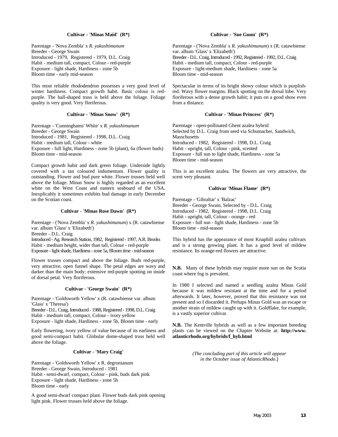#### **Cultivar - 'Minas Maid' (R\*)**

Parentage - 'Nova Zembla' x *R. yakushimanum* Breeder - George Swain Introduced - 1979, Registered - 1979, D.L. Craig Habit - medium tall, compact, Colour - red-purple Exposure - light shade, Hardiness - zone 5b Bloom time - early mid-season

This most reliable rhododendron possesses a very good level of winter hardiness. Compact growth habit. Basic colour is redpurple. The ball-shaped truss is held above the foliage. Foliage quality is very good. Very floriferous.

#### **Cultivar - 'Minas Snow' (R\*)**

Parentage - 'Cunninghams' White' x *R. yakushimanum* Breeder - George Swain Introduced - 1981, Registered - 1998, D.L. Craig Habit - medium tall, Colour - white Exposure - full light, Hardiness - zone 5b (plant), 6a (flower buds) Bloom time - mid-season

Compact growth habit and dark green foliage. Underside lightly covered with a tan coloured indumentum. Flower quality is outstanding. Flower and bud pure white. Flower trusses held well above the foliage. Minas Snow is highly regarded as an excellent white on the West Coast and eastern seaboard of the USA. Inexplicably it sometimes exhibits bud damage in early December on the Scotian coast.

#### **Cultivar - 'Minas Rose Dawn' (R\*)**

Parentage - ('Nova Zembla' x *R. yakushimanum*) x (R. catawbiense var. album 'Glass' x 'Elizabeth')

Breeder - D.L. Craig

Introduced - Ag. Research Station, 1982, Registered - 1997, A.R. Brooks Habit - medium height, wider than tall, Colour - red-purple Exposure - light shade, Hardiness - zone 5a, Bloom time - mid-season

Flower trusses compact and above the foliage. Buds red-purple, very attractive, open funnel shape. The petal edges are wavy and darker than the main body; extensive red-purple spotting on inside of dorsal petal. Very floriferous.

#### **Cultivar - 'George Swain' (R\*)**

Parentage - 'Goldsworth Yellow' x (R. catawbiense var. album 'Glass' x 'Theresa')

Breeder - D.L. Craig, Introduced - 1988, Registered - 1998, D.L. Craig Habit - medium tall, compact, Colour - ivory yellow Exposure - light shade, Hardiness - zone 5b, Bloom time - early

Early flowering, ivory yellow of value because of its earliness and good semi-compact habit. Globular dome-shaped truss held well above the foliage.

#### **Cultivar - 'Mary Craig'**

Parentage - 'Goldsworth Yellow' x R. degronianum Breeder - George Swain, Introduced - 1981 Habit - semi-dwarf, compact, Colour - pink, buds dark pink Exposure - light shade, Hardiness - zone 5b Bloom time - early

A good semi-dwarf compact plant. Flower buds dark pink opening light pink. Flower trusses held above the foliage.

#### **Cultivar - 'Sue Gunn' (R\*)**

Parentage - ('Nova Zembla' x *R. yakushimanum*) x (R. catawbiense var. album 'Glass' x 'Elizabeth') Breeder - D.L. Craig, Introduced - 1992, Registered - 1992, D.L. Craig Habit - medium tall, compact, Colour - red-purple Exposure - light-medium shade, Hardiness - zone 5a Bloom time - mid-season

Spectacular in terms of its bright showy colour which is purplishred. Wavy flower margins. Black spotting on the dorsal lobe. Very floriferous with a dense growth habit; it puts on a good show even from a distance.

#### **Cultivar - 'Minas Princess' (R\*)**

Parentage - open-pollinated Ghent azalea hybrid Selected by D.L. Craig from seed via Schumacher, Sandwich, Masschusetts Introduced - 1982, Registered - 1998, D.L. Craig Habit - upright, tall, Colour - pink, scented Exposure - full sun to light shade, Hardiness - zone 5a Bloom time - mid-season

This is an excellent azalea. The flowers are very attractive, the scent very pleasant.

#### **Cultivar 'Minas Flame' (R\*)**

Parentage - 'Gibraltar' x 'Balzac' Breeder - George Swain, Selected by - D.L. Craig Introduced - 1982, Registered - 1998, D.L. Craig Habit - upright, tall, Colour - orange - red Exposure - full sun - light shade, Hardiness - zone 5b Bloom time - mid-season

This hybrid has the appearance of most Knaphill azalea cultivars and is a strong growing plant. It has a good level of mildew resistance. Its orange-red flowers are attractive.

**N.B.** Many of these hybrids may require more sun on the Scotia coast where fog is prevalent.

In 1980 I selected and named a seedling azalea Minas Gold because it was mildew resistant at the time and for a period afterwards. It later, however, proved that this resistance was not present and so I discarded it. Perhaps Minas Gold was an escape or another strain of mildew caught up with it. Goldflake, for example, is a vastly superior cultivar.

**N.B.** The Kentville hybrids as well as a few important breeding plants can be viewed on the Chapter Website at: **http://www. atlanticrhodo.org/hybrids/f\_hyb.html**

> *(The concluding part of this article will appear in the October issue of AtlanticRhodo*.)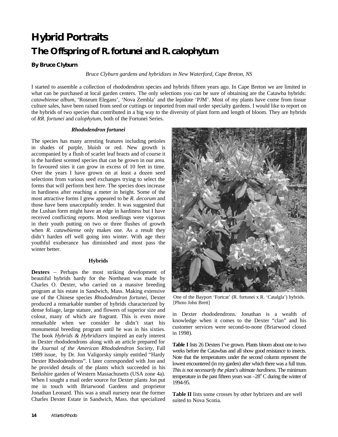# **Hybrid Portraits The Offspring of** *R. fortunei* **and** *R. calophytum*

#### **By Bruce Clyburn**

*Bruce Clyburn gardens and hybridizes in New Waterford, Cape Breton, NS*

I started to assemble a collection of rhododendron species and hybrids fifteen years ago. In Cape Breton we are limited in what can be purchased at local garden centers. The only selections you can be sure of obtaining are the Catawba hybrids: *catawbiense album*, 'Roseum Elegans', 'Nova Zembla' and the lepidote 'PJM'. Most of my plants have come from tissue culture sales, have been raised from seed or cuttings or imported from mail order specialty gardens. I would like to report on the hybrids of two species that contributed in a big way to the diversity of plant form and length of bloom. They are hybrids of *RR. fortunei* and *calophytum*, both of the Fortunei Series.

#### *Rhododendron fortunei*

The species has many arresting features including petioles in shades of purple, bluish or red. New growth is accompanied by a flush of scarlet leaf bracts and of course it is the hardiest scented species that can be grown in our area. In favoured sites it can grow in excess of 10 feet in time. Over the years I have grown on at least a dozen seed selections from various seed exchanges trying to select the forms that will perform best here. The species does increase in hardiness after reaching a meter in height. Some of the most attractive forms I grew appeared to be *R. decorum* and those have been unacceptably tender. It was suggested that the Lushan form might have an edge in hardiness but I have received conflicting reports. Most seedlings were vigorous in their youth putting on two or three flushes of growth when *R. catawbiense* only makes one. As a result they didn't harden off well going into winter. With age their youthful exuberance has diminished and most pass the winter better.

#### **Hybrids**

**Dexters** – Perhaps the most striking development of beautiful hybrids hardy for the Northeast was made by Charles O. Dexter, who carried on a massive breeding program at his estate in Sandwich, Mass. Making extensive use of the Chinese species *Rhododendron fortunei*, Dexter produced a remarkable number of hybrids characterized by dense foliage, large stature, and flowers of superior size and colour, many of which are fragrant. This is even more remarkable when we consider he didn't start his monumental breeding program until he was in his sixties. The book *Hybrids & Hybridizers* inspired an early interest in Dexter rhododendrons along with an article prepared for the *Journal of the American Rhododendron Society*, Fall 1989 issue, by Dr. Jon Valigorsky simply entitled "Hardy Dexter Rhododendrons". I later corresponded with Jon and he provided details of the plants which succeeded in his Berkshire garden of Western Massachusetts (USA zone 4a). When I sought a mail order source for Dexter plants Jon put me in touch with Briarwood Gardens and proprietor Jonathan Leonard. This was a small nursery near the former Charles Dexter Estate in Sandwich, Mass. that specialized



One of the Bayport 'Fortcat' (R. fortunei x R. 'Catalgla') hybrids. [Photo John Brett]

in Dexter rhododendrons. Jonathan is a wealth of knowledge when it comes to the Dexter "clan" and his customer services were second-to-none (Briarwood closed in 1998).

**Table I** lists 26 Dexters I've grown. Plants bloom about one to two weeks before the Catawbas and all show good resistance to insects. Note that the temperatures under the second column represent the lowest encountered (in my garden) after which there was a full truss. *This is not necessarily the plant's ultimate hardiness*. The minimum temperature in the past fifteen years was  $-28^{\circ}$  C during the winter of 1994-95.

**Table II** lists some crosses by other hybrizers and are well suited to Nova Scotia.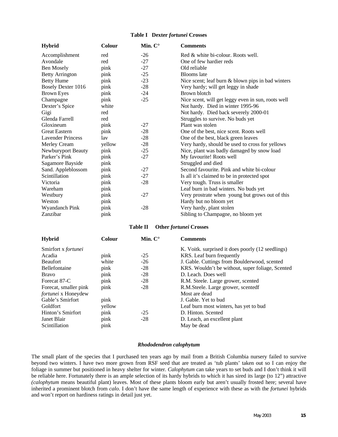#### **Table I Dexter** *fortunei* **Crosses**

| <b>Hybrid</b>             | <b>Colour</b> | Min. $C^{\circ}$ | <b>Comments</b>                                    |
|---------------------------|---------------|------------------|----------------------------------------------------|
| Accomplishment            | red           | $-26$            | Red & white bi-colour. Roots well.                 |
| Avondale                  | red           | $-27$            | One of few hardier reds                            |
| Ben Mosely                | pink          | $-27$            | Old reliable                                       |
| <b>Betty Arrington</b>    | pink          | $-25$            | <b>Blooms</b> late                                 |
| <b>Betty Hume</b>         | pink          | $-23$            | Nice scent; leaf burn & blown pips in bad winters  |
| <b>Bosely Dexter 1016</b> | pink          | $-28$            | Very hardy; will get leggy in shade                |
| <b>Brown Eyes</b>         | pink          | $-24$            | Brown blotch                                       |
| Champagne                 | pink          | $-25$            | Nice scent, will get leggy even in sun, roots well |
| Dexter's Spice            | white         |                  | Not hardy. Died in winter 1995-96                  |
| Gigi                      | red           |                  | Not hardy. Died back severely 2000-01              |
| Glenda Farrell            | red           |                  | Struggles to survive. No buds yet                  |
| Gloxineum                 | pink          | $-27$            | Plant was stolen                                   |
| <b>Great Eastern</b>      | pink          | $-28$            | One of the best, nice scent. Roots well            |
| <b>Lavender Princess</b>  | lav           | $-28$            | One of the best, black green leaves                |
| Merley Cream              | yellow        | $-28$            | Very hardy, should be used to cross for yellows    |
| Newburyport Beauty        | pink          | $-25$            | Nice, plant was badly damaged by snow load         |
| Parker's Pink             | pink          | $-27$            | My favourite! Roots well                           |
| Sagamore Bayside          | pink          |                  | Struggled and died                                 |
| Sand. Appleblossom        | pink          | $-27$            | Second favourite. Pink and white bi-colour         |
| Scintillation             | pink          | $-27$            | Is all it's claimed to be in protected spot        |
| Victoria                  | pink          | $-28$            | Very tough. Truss is smaller                       |
| Wareham                   | pink          |                  | Leaf burn in bad winters. No buds yet              |
| Westbury                  | pink          | $-27$            | Very prostrate when young but grows out of this    |
| Weston                    | pink          |                  | Hardy but no bloom yet                             |
| Wyandanch Pink            | pink          | $-28$            | Very hardy, plant stolen                           |
| Zanzibar                  | pink          |                  | Sibling to Champagne, no bloom yet                 |

#### **Table II Other** *fortunei* **Crosses**

| <b>Hybrid</b>         | Colour | Min. $C^{\circ}$ | <b>Comments</b>                                   |
|-----------------------|--------|------------------|---------------------------------------------------|
| Smirfort x fortunei   |        |                  | K. Voitk. surprised it does poorly (12 seedlings) |
| Acadia                | pink   | $-25$            | KRS. Leaf burn frequently                         |
| <b>Beaufort</b>       | white  | $-26$            | J. Gable. Cuttings from Boulderwood, scented      |
| Bellefontaine         | pink   | $-28$            | KRS. Wouldn't be without, super foliage, Scented  |
| <b>Bravo</b>          | pink   | $-28$            | D. Leach. Does well                               |
| Forecat 87-C          | pink   | $-28$            | R.M. Steele. Large grower, scented                |
| Forecat, smaller pink | pink   | $-28$            | R.M.Steele. Large grower, scentedf                |
| fortunei x Honeydew   |        |                  | Most are dead                                     |
| Gable's Smirfort      | pink   |                  | J. Gable. Yet to bud                              |
| <b>Goldfort</b>       | yellow |                  | Leaf burn most winters, has yet to bud            |
| Hinton's Smirfort     | pink   | $-25$            | D. Hinton. Scented                                |
| Janet Blair           | pink   | $-28$            | D. Leach, an excellent plant                      |
| Scintillation         | pink   |                  | May be dead                                       |

#### *Rhododendron calophytum*

The small plant of the species that I purchased ten years ago by mail from a British Columbia nursery failed to survive beyond two winters. I have two more grown from RSF seed that are treated as 'tub plants' taken out so I can enjoy the foliage in summer but positioned in heavy shelter for winter. *Calophytum* can take years to set buds and I don't think it will be reliable here. Fortunately there is an ample selection of its hardy hybrids to which it has sired its large (to 12") attractive *(calophytum* means beautiful plant) leaves. Most of these plants bloom early but aren't usually frosted here; several have inherited a prominent blotch from *calo*. I don't have the same length of experience with these as with the *fortunei* hybrids and won't report on hardiness ratings in detail just yet.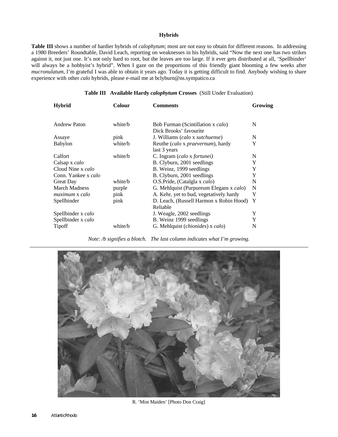#### **Hybrids**

**Table III** shows a number of hardier hybrids of *calophytum*; most are not easy to obtain for different reasons. In addressing a 1980 Breeders' Roundtable, David Leach, reporting on weaknesses in his hybrids, said "Now the next one has two strikes against it, not just one. It's not only hard to root, but the leaves are too large. If it ever gets distributed at all, 'Spellbinder' will always be a hobbyist's hybrid". When I gaze on the proportions of this friendly giant blooming a few weeks after *mucronulatum*, I'm grateful I was able to obtain it years ago. Today it is getting difficult to find. Anybody wishing to share experience with other *calo* hybrids, please e-mail me at bclyburn@ns.sympatico.ca

#### **Table III Available Hardy** *calophytum* **Crosses** (Still Under Evaluation)

| <b>Hybrid</b>         | Colour  | <b>Comments</b>                                             | Growing |
|-----------------------|---------|-------------------------------------------------------------|---------|
| Andrew Paton          | white/b | Bob Furman (Scintillation x calo)<br>Dick Brooks' favourite | N       |
| Assaye                | pink    | J. Williams (calo x sutchuense)                             | N       |
| Babylon               | white/b | Reuthe (calo x praevernum), hardy<br>last 3 years           | Y       |
| Calfort               | white/b | C. Ingram (calo x fortunei)                                 | N       |
| Calsap x calo         |         | B. Clyburn, 2001 seedlings                                  | Y       |
| Cloud Nine x calo     |         | B. Weinz, 1999 seedlings                                    | Y       |
| Conn. Yankee x calo   |         | B. Clyburn, 2001 seedlings                                  | Y       |
| Great Day             | white/b | O.S.Pride, (Catalgla x calo)                                | N       |
| <b>March Madness</b>  | purple  | G. Mehlquist (Purpureum Elegans x calo)                     | N       |
| <i>maximum x calo</i> | pink    | A. Kehr, yet to bud, vegetatively hardy                     | Y       |
| Spellbinder           | pink    | D. Leach, (Russell Harmon x Robin Hood)<br>Reliable         | Y       |
| Spellbinder x calo    |         | J. Weagle, 2002 seedlings                                   | Y       |
| Spellbinder x calo    |         | B. Weinz 1999 seedlings                                     | Y       |
| Tipoff                | white/b | G. Mehlquist (chionides) x calo)                            | N       |

*Note: /b signifies a blotch. The last column indicates what I'm growing.*



R. 'Mist Maiden' [Photo Don Craig]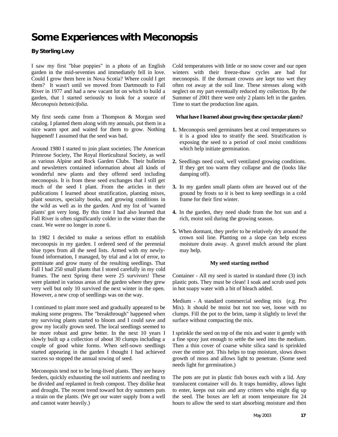# **Some Experiences with Meconopsis**

### **By Sterling Levy**

I saw my first "blue poppies" in a photo of an English garden in the mid-seventies and immediately fell in love. Could I grow them here in Nova Scotia? Where could I get them? It wasn't until we moved from Dartmouth to Fall River in 1977 and had a new vacant lot on which to build a garden, that I started seriously to look for a source of *Meconopsis betonicifolia*.

My first seeds came from a Thompson & Morgan seed catalog. I planted them along with my annuals, put them in a nice warm spot and waited for them to grow. Nothing happened! I assumed that the seed was bad.

Around 1980 I started to join plant societies; The American Primrose Society, The Royal Horticultural Society, as well as various Alpine and Rock Garden Clubs. Their bulletins and newsletters contained information about all kinds of wonderful new plants and they offered seed including meconopsis. It is from these seed exchanges that I still get much of the seed I plant. From the articles in their publications I learned about stratification, planting mixes, plant sources, specialty books, and growing conditions in the wild as well as in the garden. And my list of 'wanted plants' got very long. By this time I had also learned that Fall River is often significantly colder in the winter than the coast. We were no longer in zone 6.

In 1982 I decided to make a serious effort to establish meconopsis in my garden. I ordered seed of the perennial blue types from all the seed lists. Armed with my newlyfound information, I managed, by trial and a lot of error, to germinate and grow many of the resulting seedlings. That Fall I had 250 small plants that I stored carefully in my cold frames. The next Spring there were 25 survivors! These were planted in various areas of the garden where they grew very well but only 10 survived the next winter in the open. However, a new crop of seedlings was on the way.

I continued to plant more seed and gradually appeared to be making some progress. The "breakthrough" happened when my surviving plants started to bloom and I could save and grow my locally grown seed. The local seedlings seemed to be more robust and grew better. In the next 10 years I slowly built up a collection of about 30 clumps including a couple of good white forms. When self-sown seedlings started appearing in the garden I thought I had achieved success so stopped the annual sowing of seed.

Meconopsis tend not to be long-lived plants. They are heavy feeders, quickly exhausting the soil nutrients and needing to be divided and replanted in fresh compost. They dislike heat and drought. The recent trend toward hot dry summers puts a strain on the plants. (We get our water supply from a well and cannot water heavily.)

Cold temperatures with little or no snow cover and our open winters with their freeze-thaw cycles are bad for meconopsis. If the dormant crowns are kept too wet they often rot away at the soil line. These stresses along with neglect on my part eventually reduced my collection. By the Summer of 2001 there were only 2 plants left in the garden. Time to start the production line again.

#### **What have I learned about growing these spectacular plants?**

- **1.** Meconopsis seed germinates best at cool temperatures so it is a good idea to stratify the seed. Stratification is exposing the seed to a period of cool moist conditions which help initiate germination.
- **2.** Seedlings need cool, well ventilated growing conditions. If they get too warm they collapse and die (looks like damping off).
- **3.** In my garden small plants often are heaved out of the ground by frosts so it is best to keep seedlings in a cold frame for their first winter.
- **4.** In the garden, they need shade from the hot sun and a rich, moist soil during the growing season.
- **5.** When dormant, they prefer to be relatively dry around the crown soil line. Planting on a slope can help excess moisture drain away. A gravel mulch around the plant may help.

#### **My seed starting method**

Container - All my seed is started in standard three (3) inch plastic pots. They must be clean! I soak and scrub used pots in hot soapy water with a bit of bleach added.

Medium - A standard commercial seeding mix (e.g. Pro Mix). It should be moist but not too wet, loose with no clumps. Fill the pot to the brim, tamp it slightly to level the surface without compacting the mix.

I sprinkle the seed on top of the mix and water it gently with a fine spray just enough to settle the seed into the medium. Then a thin cover of coarse white silica sand is sprinkled over the entire pot. This helps to trap moisture, slows down growth of moss and allows light to penetrate. (Some seed needs light for germination.)

The pots are put in plastic fish boxes each with a lid. Any translucent container will do. It traps humidity, allows light to enter, keeps out rain and any critters who might dig up the seed. The boxes are left at room temperature for 24 hours to allow the seed to start absorbing moisture and then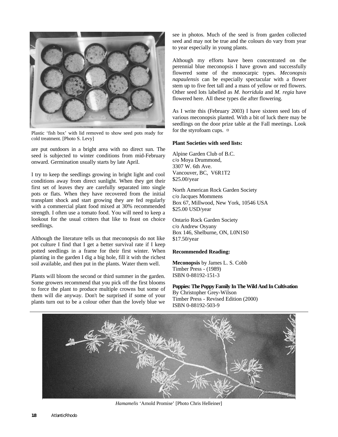

Plastic 'fish box' with lid removed to show seed pots ready for cold treatment. [Photo S. Levy]

are put outdoors in a bright area with no direct sun. The seed is subjected to winter conditions from mid-February onward. Germination usually starts by late April.

I try to keep the seedlings growing in bright light and cool conditions away from direct sunlight. When they get their first set of leaves they are carefully separated into single pots or flats. When they have recovered from the initial transplant shock and start growing they are fed regularly with a commercial plant food mixed at 30% recommended strength. I often use a tomato food. You will need to keep a lookout for the usual critters that like to feast on choice seedlings.

Although the literature tells us that meconopsis do not like pot culture I find that I get a better survival rate if I keep potted seedlings in a frame for their first winter. When planting in the garden I dig a big hole, fill it with the richest soil available, and then put in the plants. Water them well.

Plants will bloom the second or third summer in the garden. Some growers recommend that you pick off the first blooms to force the plant to produce multiple crowns but some of them will die anyway. Don't be surprised if some of your plants turn out to be a colour other than the lovely blue we

see in photos. Much of the seed is from garden collected seed and may not be true and the colours do vary from year to year especially in young plants.

Although my efforts have been concentrated on the perennial blue meconopsis I have grown and successfully flowered some of the monocarpic types. *Meconopsis napaulensis* can be especially spectacular with a flower stem up to five feet tall and a mass of yellow or red flowers. Other seed lots labelled as *M. horridula* and *M. regia* have flowered here. All these types die after flowering.

As I write this (February 2003) I have sixteen seed lots of various meconopsis planted. With a bit of luck there may be seedlings on the door prize table at the Fall meetings. Look for the styrofoam cups. ¤

#### **Plant Societies with seed lists:**

Alpine Garden Club of B.C. c/o Moya Drummond, 3307 W. 6th Ave. Vancouver, BC, V6R1T2 \$25.00/year

North American Rock Garden Society c/o Jacques Mommens Box 67, Millwood, New York, 10546 USA \$25.00 USD/year

Ontario Rock Garden Society c/o Andrew Osyany Box 146, Shelburne, ON, L0N1S0 \$17.50/year

#### **Recommended Reading:**

**Meconopsis** by James L. S. Cobb Timber Press - (1989) ISBN 0-88192-151-3

**Poppies: The Poppy Family In The Wild And In Cultivation** By Christopher Grey-Wilson Timber Press - Revised Edition (2000) ISBN 0-88192-503-9



*Hamamelis* 'Arnold Promise' [Photo Chris Helleiner]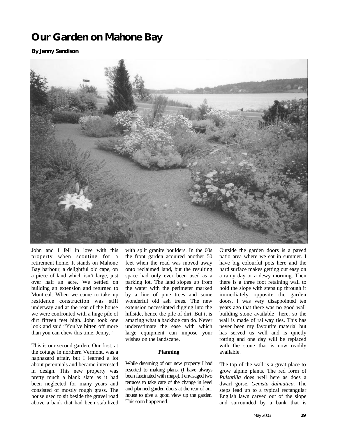# **Our Garden on Mahone Bay**

### **By Jenny Sandison**



John and I fell in love with this property when scouting for a retirement home. It stands on Mahone Bay harbour, a delightful old cape, on a piece of land which isn't large, just over half an acre. We settled on building an extension and returned to Montreal. When we came to take up residence construction was still underway and at the rear of the house we were confronted with a huge pile of dirt fifteen feet high. John took one look and said "You've bitten off more than you can chew this time, Jenny."

This is our second garden. Our first, at the cottage in northern Vermont, was a haphazard affair, but I learned a lot about perennials and became interested in design. This new property was pretty much a blank slate as it had been neglected for many years and consisted of mostly rough grass. The house used to sit beside the gravel road above a bank that had been stabilized

with split granite boulders. In the 60s the front garden acquired another 50 feet when the road was moved away onto reclaimed land, but the resulting space had only ever been used as a parking lot. The land slopes up from the water with the perimeter marked by a line of pine trees and some wonderful old ash trees. The new extension necessitated digging into the hillside, hence the pile of dirt. But it is amazing what a backhoe can do. Never underestimate the ease with which large equipment can impose your wishes on the landscape.

#### **Planning**

While dreaming of our new property I had resorted to making plans. (I have always been fascinated with maps). I envisaged two terraces to take care of the change in level and planned garden doors at the rear of our house to give a good view up the garden. This soon happened.

Outside the garden doors is a paved patio area where we eat in summer. I have big colourful pots here and the hard surface makes getting out easy on a rainy day or a dewy morning. Then there is a three foot retaining wall to hold the slope with steps up through it immediately opposite the garden doors. I was very disappointed ten years ago that there was no good wall building stone available here, so the wall is made of railway ties. This has never been my favourite material but has served us well and is quietly rotting and one day will be replaced with the stone that is now readily available.

The top of the wall is a great place to grow alpine plants. The red form of *Pulsatilla* does well here as does a dwarf gorse*, Genista dalmatica.* The steps lead up to a typical rectangular English lawn carved out of the slope and surrounded by a bank that is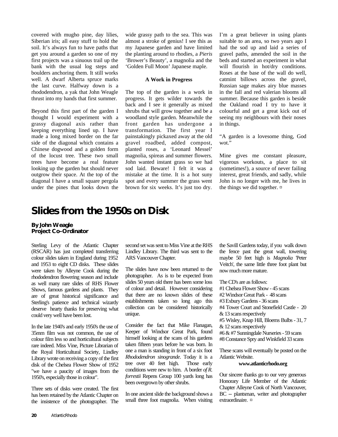covered with mugho pine, day lilies, Siberian iris; all easy stuff to hold the soil. It's always fun to have paths that get you around a garden so one of my first projects was a sinuous trail up the bank with the usual log steps and boulders anchoring them. It still works well. A dwarf Alberta spruce marks the last curve. Halfway down is a rhododendron, a yak that John Weagle thrust into my hands that first summer.

Beyond this first part of the garden I thought I would experiment with a grassy diagonal axis rather than keeping everything lined up. I have made a long mixed border on the far side of the diagonal which contains a Chinese dogwood and a golden form of the locust tree. These two small trees have become a real feature looking up the garden but should never outgrow their space. At the top of the diagonal I have a small square pergola under the pines that looks down the

wide grassy path to the sea. This was almost a stroke of genius! I see this as my Japanese garden and have limited the planting around to rhodies, a *Pieris* 'Brower's Beauty', a magnolia and the 'Golden Full Moon' Japanese maple.

#### **A Work in Progress**

The top of the garden is a work in progress. It gets wilder towards the back and I see it generally as mixed shrubs that will grow together and be a woodland style garden. Meanwhile the front garden has undergone a transformation. The first year I painstakingly pickaxed away at the old gravel roadbed, added compost, planted roses, a 'Leonard Messel' magnolia, spireas and summer flowers. John wanted instant grass so we had sod laid. Beware! I felt it was a mistake at the time. It is a hot suny spot and every summer the grass went brown for six weeks. It's just too dry.

I'm a great believer in using plants suitable to an area, so two years ago I had the sod up and laid a series of gravel paths, amended the soil in the beds and started an experiment in what will flourish in hot/dry conditions. Roses at the base of the wall do well, catmint billows across the gravel, Russian sage makes airy blue masses in the fall and red valerian blooms all summer. Because this garden is beside the Oakland road I try to have it colourful and get a great kick out of seeing my neighbours with their noses in things.

"A garden is a lovesome thing, God wot."

Mine gives me constant pleasure, vigorous workouts, a place to sit (sometimes!), a source of never failing interest, great friends, and sadly, while John is no longer with me, he lives in the things we did together. ¤

# **Slides from the 1950s on Disk**

**By John Weagle Project Co–Ordinator**

Sterling Levy of the Atlantic Chapter (RSCAR) has just completed transferring colour slides taken in England during 1952 and 1953 to eight CD disks. These slides were taken by Alleyne Cook during the rhododendron flowering season and include as well many rare slides of RHS Flower Shows, famous gardens and plants. They are of great historical significance and Sterling's patience and technical wizardy deserve hearty thanks for preserving what could very well have been lost.

In the late 1940's and early 1950's the use of 35mm film was not common, the use of colour film less so and horticultural subjects rare indeed. Miss Vine, Picture Librarian of the Royal Horticultural Society, Lindley Library wrote on receiving a copy of the first disk of the Chelsea Flower Show of 1952 "we have a paucity of images from the 1950's, especially those in colour".

Three sets of disks were created. The first has been retained by the Atlantic Chapter on the insistence of the photographer. The second set was sent to Miss Vine at the RHS Lindley Library. The third was sent to the ARS Vancouver Chapter.

The slides have now been returned to the photographer. As is to be expected from slides 50 years old there has been some loss of colour and detail. However considering that there are no known slides of these establishments taken so long ago this collection can be considered historically unique.

Consider the fact that Mike Flanagan, Keeper of Windsor Great Park, found himself looking at the scans of his gardens taken fifteen years before he was born. In one a man is standing in front of a six foot *Rhododendron sinogrande*. Today it is a tree over 40 feet high. Those early conditions were new to him. A border *of R. forrestii* Repens Group 100 yards long has been overgrown by other shrubs.

In one ancient slide the background shows a small three foot magnolia. When visiting

the Savill Gardens today, if you walk down the fence past the great wall, towering maybe 50 feet high is *Magnolia* 'Peter Veitch', the same little three foot plant but now much more mature.

The CD's are as follows:

#1 Chelsea Flower Show - 45 scans

#2 Windsor Great Park - 48 scans

#3 Exbury Gardens - 36 scans

#4 Tower Court and Stonefield Castle - 20 & 13 scans respectively

#5 Wisley, Knap Hill, Bloems Bulbs - 31, 7

& 12 scans respectively

#6 & #7 Sunningdale Nurseries - 59 scans

#8 Constance Spry and Winkfield 33 scans

These scans will eventually be posted on the Atlantic Website.

#### **www.atlanticrhodo.org**

Our sincere thanks go to our very generous Honorary Life Member of the Atlantic Chapter Alleyne Cook of North Vancouver, BC -- plantsman, writer and photographer extraordinaire. ¤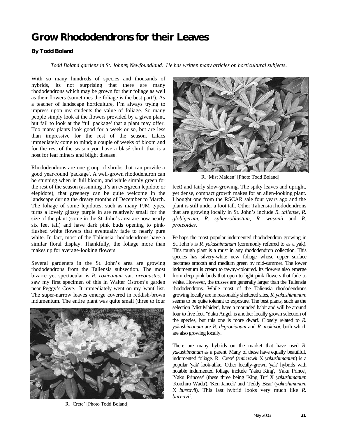# **Grow Rhododendrons for their Leaves**

### **By Todd Boland**

*Todd Boland gardens in St. John=s, Newfoundland. He has written many articles on horticultural subjects.*

With so many hundreds of species and thousands of hybrids, its not surprising that there are many rhododendrons which may be grown for their foliage as well as their flowers (sometimes the foliage is the best part!). As a teacher of landscape horticulture, I'm always trying to impress upon my students the value of foliage. So many people simply look at the flowers provided by a given plant, but fail to look at the 'full package' that a plant may offer. Too many plants look good for a week or so, but are less than impressive for the rest of the season. Lilacs immediately come to mind; a couple of weeks of bloom and for the rest of the season you have a blasé shrub that is a host for leaf miners and blight disease.

Rhododendrons are one group of shrubs that can provide a good year-round 'package'. A well-grown rhododendron can be stunning when in full bloom, and while simply green for the rest of the season (assuming it's an evergreen lepidote or elepidote), that greenery can be quite welcome in the landscape during the dreary months of December to March. The foliage of some lepidotes, such as many PJM types, turns a lovely glossy purple in are relatively small for the size of the plant (some in the St. John's area are now nearly six feet tall) and have dark pink buds opening to pinkflushed white flowers that eventually fade to nearly pure white. In fact, most of the Taliensia rhododendrons have a similar floral display. Thankfully, the foliage more than makes up for average-looking flowers.

Several gardeners in the St. John's area are growing rhododendrons from the Taliensia subsection. The most bizarre yet spectacular is *R. roxieanum* var. *oreonastes*. I saw my first specimen of this in Walter Ostrom's garden near Peggy's Cove. It immediately went on my 'want' list. The super-narrow leaves emerge covered in reddish-brown indumentum. The entire plant was quite small (three to four



R. 'Crete' [Photo Todd Boland]



R. 'Mist Maiden' [Photo Todd Boland]

feet) and fairly slow-growing. The spiky leaves and upright, yet dense, compact growth makes for an alien-looking plant. I bought one from the RSCAR sale four years ago and the plant is still under a foot tall. Other Taliensia rhododendrons that are growing locally in St. John's include *R. taliense*, *R. globigerum*, *R. sphaeroblastum*, *R. wasonii* and *R. proteoides*.

Perhaps the most popular indumented rhododendron growing in St. John's is *R. yakushimanum* (commonly referred to as a yak). This tough plant is a must in any rhododendron collection. This species has silvery-white new foliage whose upper surface becomes smooth and medium green by mid-summer. The lower indumentum is cream to tawny-coloured. Its flowers also emerge from deep pink buds that open to light pink flowers that fade to white. However, the trusses are generally larger than the Taliensia rhododendrons. While most of the Taliensia rhododendrons growing locally are in reasonably sheltered sites, *R. yakushimanum* seems to be quite tolerant to exposure. The best plants, such as the selection 'Mist Maiden', have a mounded habit and will be around four to five feet. 'Yaku Angel' is another locally grown selection of the species, but this one is more dwarf. Closely related to *R. yakushimanum* are *R. degronianum* and *R. makinoi*, both which are also growing locally.

There are many hybrids on the market that have used *R. yakushimanum* as a parent. Many of these have equally beautiful, indumented foliage. R. 'Crete' (*smirnowii* X *yakushimanum*) is a popular 'yak' look-alike. Other locally-grown 'yak' hybrids with notable indumented foliage include 'Yaku King', 'Yaku Prince', 'Yaku Princess' (these three being 'King Tut' X *yakushimanum* 'Koichiro Wada'), 'Ken Janeck' and 'Teddy Bear' (*yakushimanum* X *bureavii*). This last hybrid looks very much like *R. bureavii*.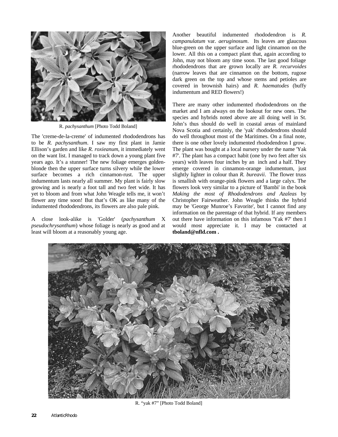

R. *pachysanthum* [Photo Todd Boland]

The 'creme-de-la-creme' of indumented rhododendrons has to be *R. pachysanthum*. I saw my first plant in Jamie Ellison's garden and like *R. roxieanum*, it immediately went on the want list. I managed to track down a young plant five years ago. It's a stunner! The new foliage emerges goldenblonde then the upper surface turns silvery while the lower surface becomes a rich cinnamon-rust. The upper indumentum lasts nearly all summer. My plant is fairly slow growing and is nearly a foot tall and two feet wide. It has yet to bloom and from what John Weagle tells me, it won't flower any time soon! But that's OK as like many of the indumented rhododendrons, its flowers are also pale pink.

A close look-alike is 'Golder' (*pachysanthum* X *pseudochrysanthum*) whose foliage is nearly as good and at least will bloom at a reasonably young age.

Another beautiful indumented rhododendron is *R. campanulatum* var. *aeruginosum*. Its leaves are glaucous blue-green on the upper surface and light cinnamon on the lower. All this on a compact plant that, again according to John, may not bloom any time soon. The last good foliage rhododendrons that are grown locally are *R. recurvoides* (narrow leaves that are cinnamon on the bottom, rugose dark green on the top and whose stems and petioles are covered in brownish hairs) and *R. haematodes* (buffy indumentum and RED flowers!)

There are many other indumented rhododendrons on the market and I am always on the lookout for new ones. The species and hybrids noted above are all doing well in St. John's thus should do well in coastal areas of mainland Nova Scotia and certainly, the 'yak' rhododendrons should do well throughout most of the Maritimes. On a final note, there is one other lovely indumented rhododendron I grow. The plant was bought at a local nursery under the name 'Yak #7'. The plant has a compact habit (one by two feet after six years) with leaves four inches by an inch and a half. They emerge covered in cinnamon-orange indumentum, just slightly lighter in colour than *R. bureavii*. The flower truss is smallish with orange-pink flowers and a large calyx. The flowers look very similar to a picture of 'Bambi' in the book *Making the most of Rhododendrons and Azaleas* by Christopher Fairweather. John Weagle thinks the hybrid may be 'George Munroe's Favorite', but I cannot find any information on the parentage of that hybrid. If any members out there have information on this infamous 'Yak #7' then I would most appreciate it. I may be contacted at **tboland@nfld.com .**



R. "yak #7" [Photo Todd Boland]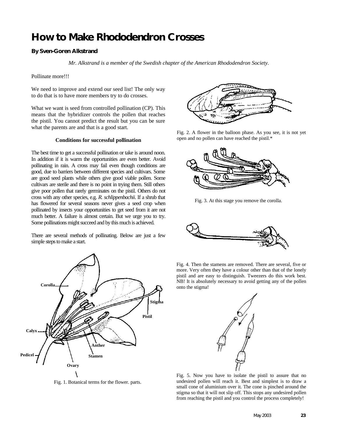# **How to Make Rhododendron Crosses**

#### **By Sven-Goren Alkstrand**

*Mr. Alkstrand is a member of the Swedish chapter of the American Rhododendron Society.*

Pollinate more!!!

We need to improve and extend our seed list! The only way to do that is to have more members try to do crosses.

What we want is seed from controlled pollination (CP). This means that the hybridizer controls the pollen that reaches the pistil. You cannot predict the result but you can be sure what the parents are and that is a good start.

#### **Conditions for successful pollination**

The best time to get a successful pollination or take is around noon. In addition if it is warm the opportunities are even better. Avoid pollinating in rain. A cross may fail even though conditions are good, due to barriers between different species and cultivars. Some are good seed plants while others give good viable pollen. Some cultivars are sterile and there is no point in trying them. Still others give poor pollen that rarely germinates on the pistil. Others do not cross with any other species, e.g. *R. schlippenbachii*. If a shrub that has flowered for several seasons never gives a seed crop when pollinated by insects your opportunities to get seed from it are not much better. A failure is almost certain. But we urge you to try. Some pollinations might succeed and by this much is achieved.

There are several methods of pollinating. Below are just a few simple steps to make a start.



Fig. 1. Botanical terms for the flower. parts.



Fig. 2. A flower in the balloon phase. As you see, it is not yet open and no pollen can have reached the pistil.\*



Fig. 3. At this stage you remove the corolla.



Fig. 4. Then the stamens are removed. There are several, five or more. Very often they have a colour other than that of the lonely pistil and are easy to distinguish. Tweezers do this work best. NB! It is absolutely necessary to avoid getting any of the pollen onto the stigma!



Fig. 5. Now you have to isolate the pistil to assure that no undesired pollen will reach it. Best and simplest is to draw a small cone of aluminium over it. The cone is pinched around the stigma so that it will not slip off. This stops any undesired pollen from reaching the pistil and you control the process completely!